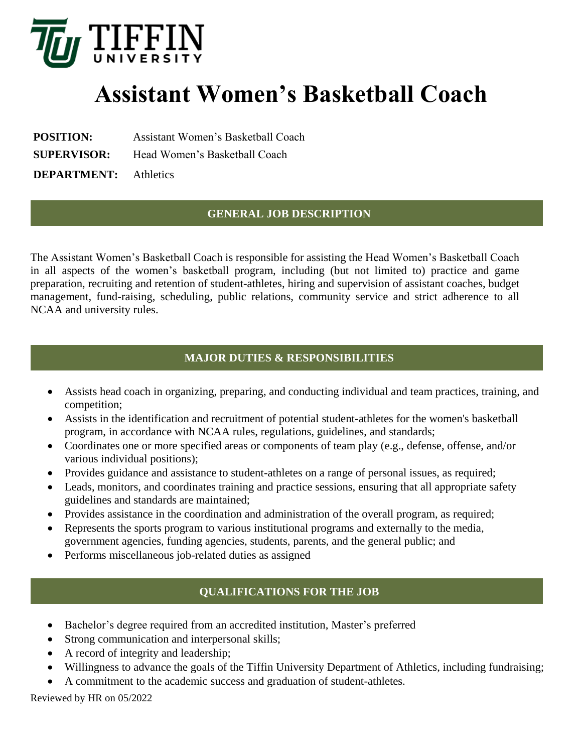

# **Assistant Women's Basketball Coach**

**POSITION:** Assistant Women's Basketball Coach

**SUPERVISOR:** Head Women's Basketball Coach

**DEPARTMENT:** Athletics

## **GENERAL JOB DESCRIPTION**

The Assistant Women's Basketball Coach is responsible for assisting the Head Women's Basketball Coach in all aspects of the women's basketball program, including (but not limited to) practice and game preparation, recruiting and retention of student-athletes, hiring and supervision of assistant coaches, budget management, fund-raising, scheduling, public relations, community service and strict adherence to all NCAA and university rules.

### **MAJOR DUTIES & RESPONSIBILITIES**

- Assists head coach in organizing, preparing, and conducting individual and team practices, training, and competition;
- Assists in the identification and recruitment of potential student-athletes for the women's basketball program, in accordance with NCAA rules, regulations, guidelines, and standards;
- Coordinates one or more specified areas or components of team play (e.g., defense, offense, and/or various individual positions);
- Provides guidance and assistance to student-athletes on a range of personal issues, as required;
- Leads, monitors, and coordinates training and practice sessions, ensuring that all appropriate safety guidelines and standards are maintained;
- Provides assistance in the coordination and administration of the overall program, as required;
- Represents the sports program to various institutional programs and externally to the media, government agencies, funding agencies, students, parents, and the general public; and
- Performs miscellaneous job-related duties as assigned

# **QUALIFICATIONS FOR THE JOB**

- Bachelor's degree required from an accredited institution, Master's preferred
- Strong communication and interpersonal skills;
- A record of integrity and leadership;
- Willingness to advance the goals of the Tiffin University Department of Athletics, including fundraising;
- A commitment to the academic success and graduation of student-athletes.

Reviewed by HR on 05/2022